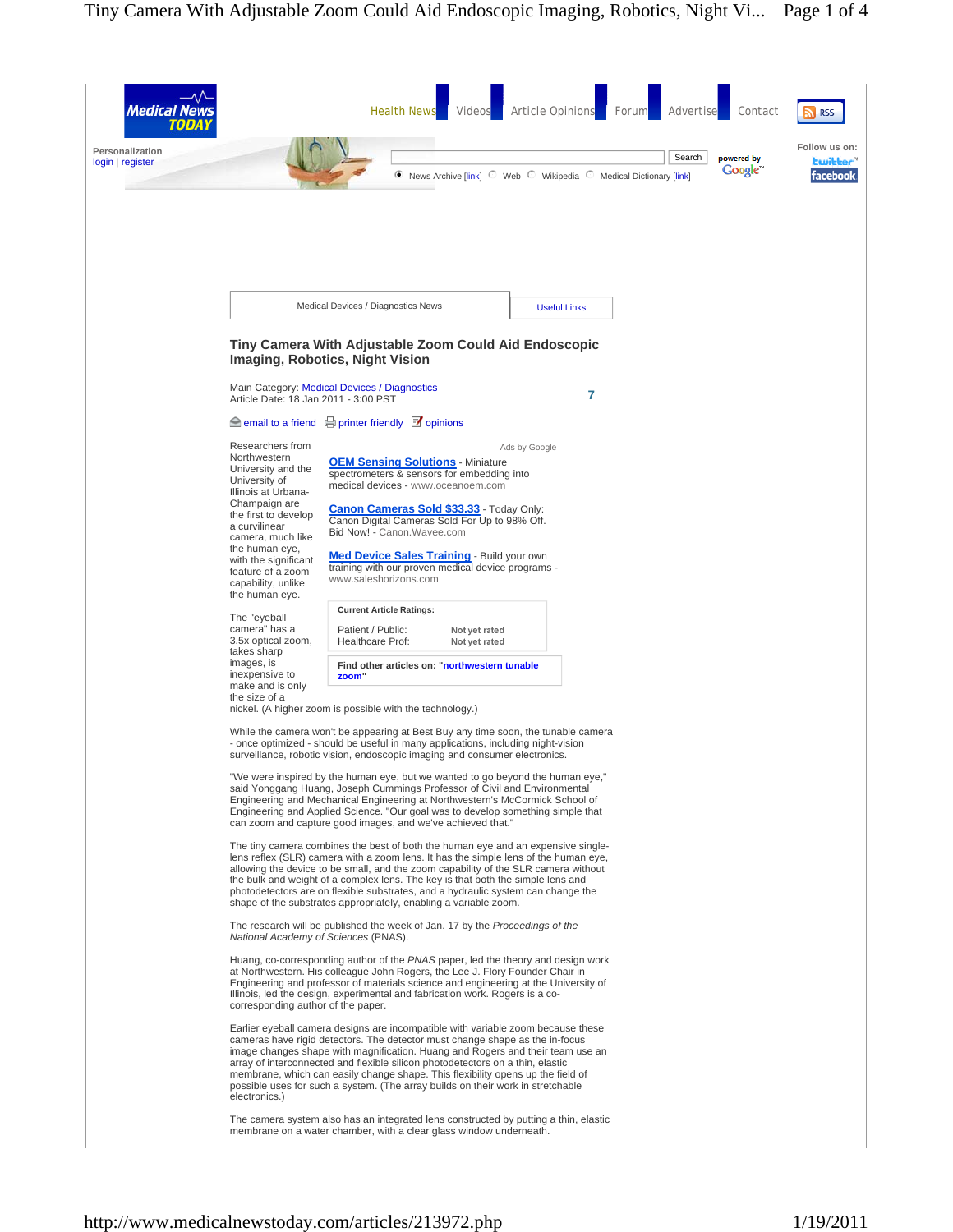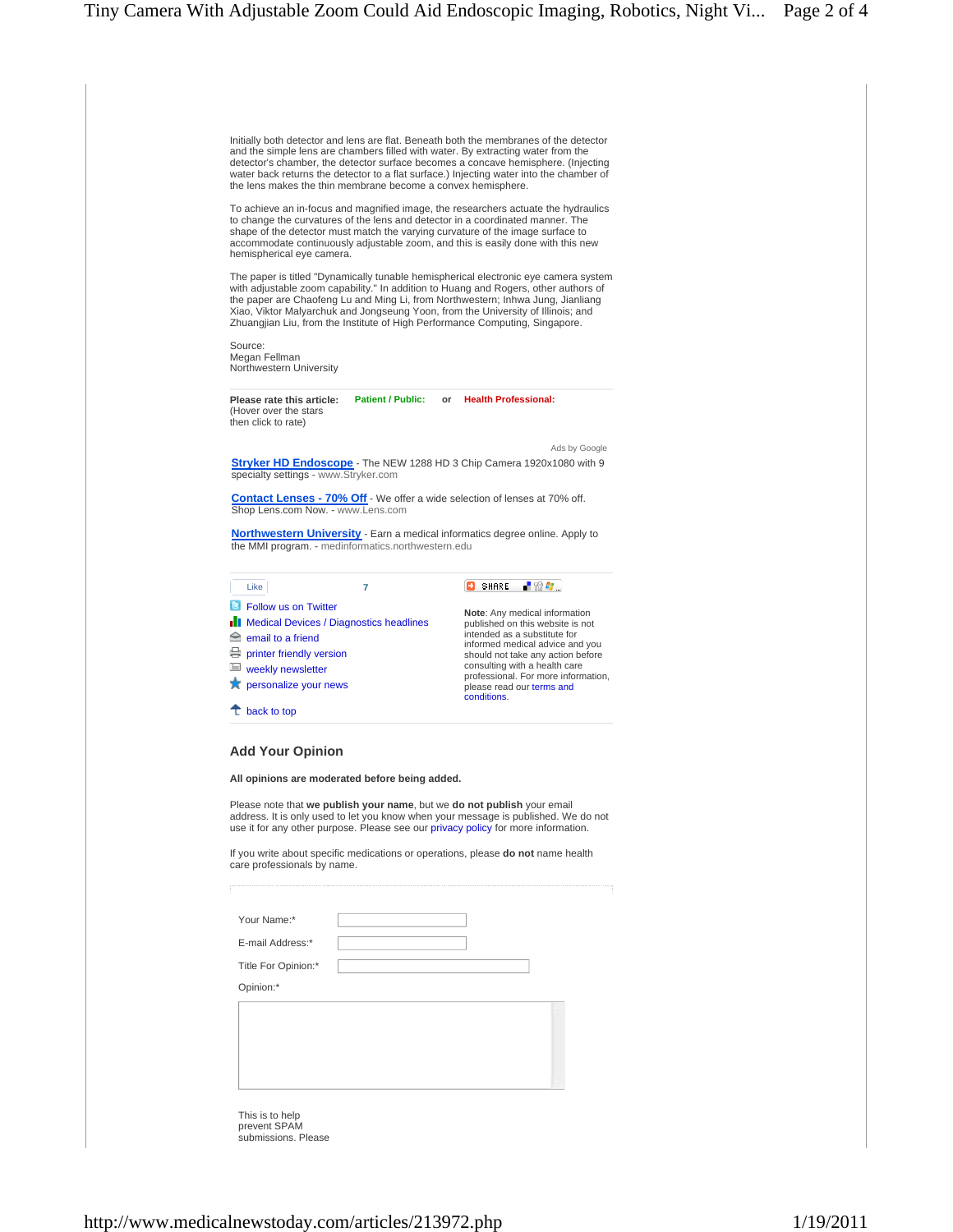| Initially both detector and lens are flat. Beneath both the membranes of the detector<br>and the simple lens are chambers filled with water. By extracting water from the<br>detector's chamber, the detector surface becomes a concave hemisphere. (Injecting<br>water back returns the detector to a flat surface.) Injecting water into the chamber of<br>the lens makes the thin membrane become a convex hemisphere.         |                          |                         |                                                                      |
|-----------------------------------------------------------------------------------------------------------------------------------------------------------------------------------------------------------------------------------------------------------------------------------------------------------------------------------------------------------------------------------------------------------------------------------|--------------------------|-------------------------|----------------------------------------------------------------------|
| To achieve an in-focus and magnified image, the researchers actuate the hydraulics<br>to change the curvatures of the lens and detector in a coordinated manner. The<br>shape of the detector must match the varying curvature of the image surface to<br>accommodate continuously adjustable zoom, and this is easily done with this new<br>hemispherical eye camera.                                                            |                          |                         |                                                                      |
| The paper is titled "Dynamically tunable hemispherical electronic eye camera system<br>with adjustable zoom capability." In addition to Huang and Rogers, other authors of<br>the paper are Chaofeng Lu and Ming Li, from Northwestern; Inhwa Jung, Jianliang<br>Xiao, Viktor Malyarchuk and Jongseung Yoon, from the University of Illinois; and<br>Zhuangjian Liu, from the Institute of High Performance Computing, Singapore. |                          |                         |                                                                      |
| Source:<br>Megan Fellman<br>Northwestern University                                                                                                                                                                                                                                                                                                                                                                               |                          |                         |                                                                      |
| Please rate this article:<br>(Hover over the stars<br>then click to rate)                                                                                                                                                                                                                                                                                                                                                         | <b>Patient / Public:</b> | or Health Professional: |                                                                      |
|                                                                                                                                                                                                                                                                                                                                                                                                                                   |                          |                         | Ads by Google                                                        |
| Stryker HD Endoscope - The NEW 1288 HD 3 Chip Camera 1920x1080 with 9<br>specialty settings - www.Stryker.com                                                                                                                                                                                                                                                                                                                     |                          |                         |                                                                      |
| <b>Contact Lenses - 70% Off</b> - We offer a wide selection of lenses at 70% off.<br>Shop Lens.com Now. - www.Lens.com                                                                                                                                                                                                                                                                                                            |                          |                         |                                                                      |
| <b>Northwestern University</b> - Earn a medical informatics degree online. Apply to<br>the MMI program. - medinformatics.northwestern.edu                                                                                                                                                                                                                                                                                         |                          |                         |                                                                      |
| Like                                                                                                                                                                                                                                                                                                                                                                                                                              | $\overline{7}$           | <b>B</b> SHARE          | -82 F                                                                |
| <b>B</b> Follow us on Twitter                                                                                                                                                                                                                                                                                                                                                                                                     |                          |                         | Note: Any medical information                                        |
| <b>Nedical Devices / Diagnostics headlines</b><br>$\triangle$ email to a friend                                                                                                                                                                                                                                                                                                                                                   |                          |                         | published on this website is not<br>intended as a substitute for     |
| printer friendly version                                                                                                                                                                                                                                                                                                                                                                                                          |                          |                         | informed medical advice and you<br>should not take any action before |
| $\equiv$ weekly newsletter                                                                                                                                                                                                                                                                                                                                                                                                        |                          |                         | consulting with a health care<br>professional. For more information, |
| <b>X</b> personalize your news                                                                                                                                                                                                                                                                                                                                                                                                    |                          | conditions.             | please read our terms and                                            |
| $\uparrow$ back to top                                                                                                                                                                                                                                                                                                                                                                                                            |                          |                         |                                                                      |
|                                                                                                                                                                                                                                                                                                                                                                                                                                   |                          |                         |                                                                      |
| <b>Add Your Opinion</b>                                                                                                                                                                                                                                                                                                                                                                                                           |                          |                         |                                                                      |
| All opinions are moderated before being added.                                                                                                                                                                                                                                                                                                                                                                                    |                          |                         |                                                                      |
| Please note that we publish your name, but we do not publish your email<br>address. It is only used to let you know when your message is published. We do not<br>use it for any other purpose. Please see our privacy policy for more information.                                                                                                                                                                                |                          |                         |                                                                      |
| If you write about specific medications or operations, please <b>do not</b> name health<br>care professionals by name.                                                                                                                                                                                                                                                                                                            |                          |                         |                                                                      |
| Your Name:*                                                                                                                                                                                                                                                                                                                                                                                                                       |                          |                         |                                                                      |
| E-mail Address:*                                                                                                                                                                                                                                                                                                                                                                                                                  |                          |                         |                                                                      |
|                                                                                                                                                                                                                                                                                                                                                                                                                                   |                          |                         |                                                                      |
| Title For Opinion:*                                                                                                                                                                                                                                                                                                                                                                                                               |                          |                         |                                                                      |
|                                                                                                                                                                                                                                                                                                                                                                                                                                   |                          |                         |                                                                      |
| Opinion:*                                                                                                                                                                                                                                                                                                                                                                                                                         |                          |                         |                                                                      |
|                                                                                                                                                                                                                                                                                                                                                                                                                                   |                          |                         |                                                                      |
|                                                                                                                                                                                                                                                                                                                                                                                                                                   |                          |                         |                                                                      |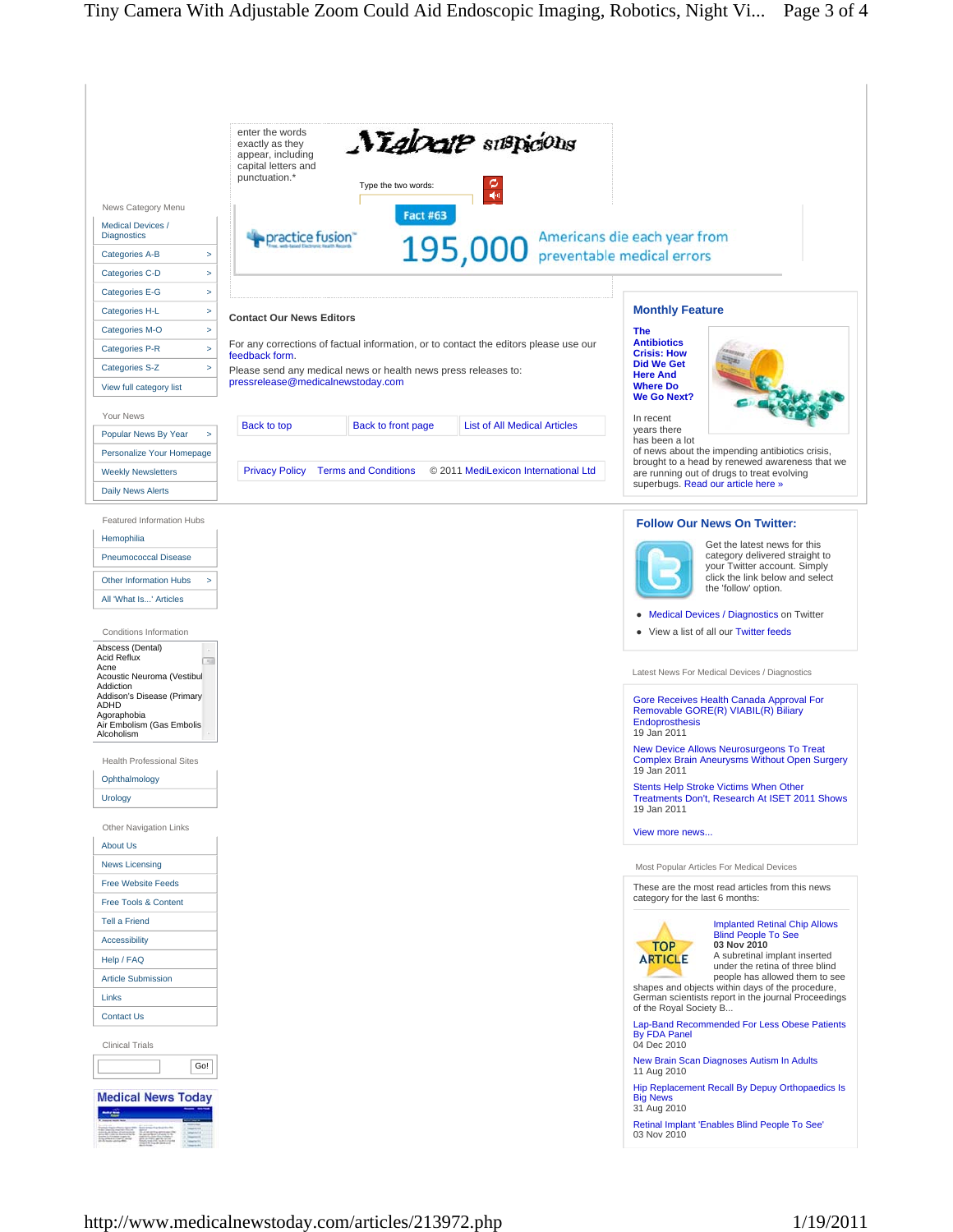